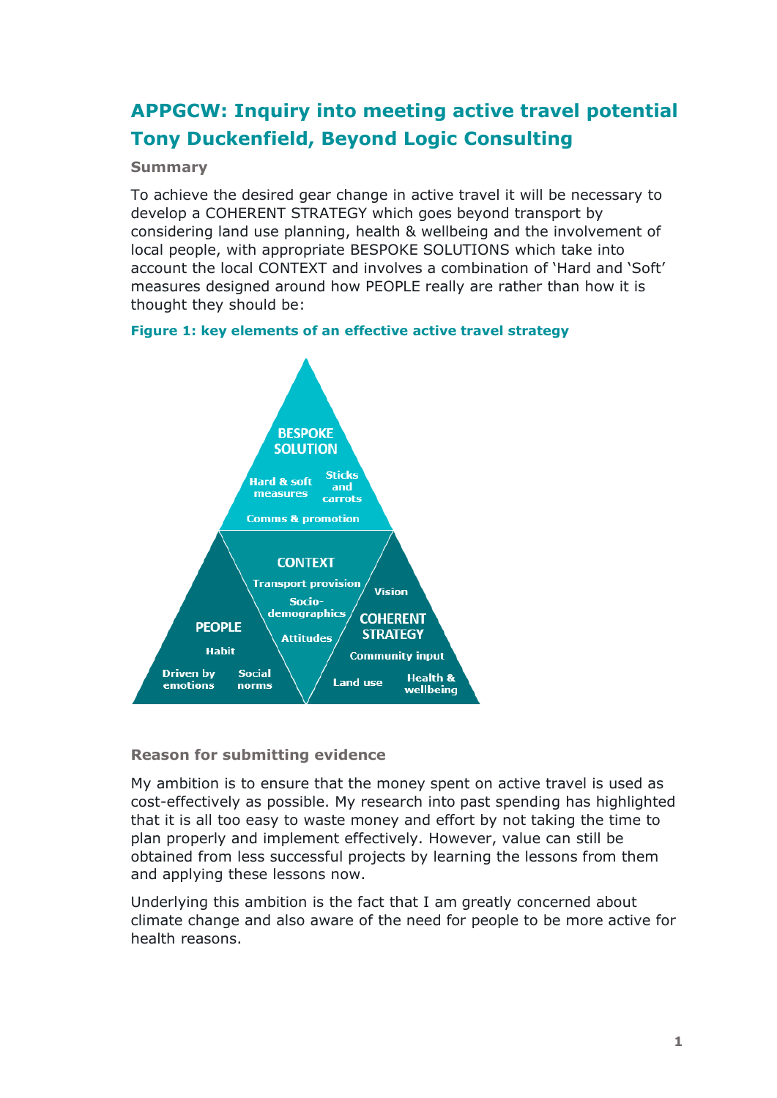# **APPGCW: Inquiry into meeting active travel potential Tony Duckenfield, Beyond Logic Consulting**

# **Summary**

To achieve the desired gear change in active travel it will be necessary to develop a COHERENT STRATEGY which goes beyond transport by considering land use planning, health & wellbeing and the involvement of local people, with appropriate BESPOKE SOLUTIONS which take into account the local CONTEXT and involves a combination of 'Hard and 'Soft' measures designed around how PEOPLE really are rather than how it is thought they should be:

# **Figure 1: key elements of an effective active travel strategy**



# **Reason for submitting evidence**

My ambition is to ensure that the money spent on active travel is used as cost-effectively as possible. My research into past spending has highlighted that it is all too easy to waste money and effort by not taking the time to plan properly and implement effectively. However, value can still be obtained from less successful projects by learning the lessons from them and applying these lessons now.

Underlying this ambition is the fact that I am greatly concerned about climate change and also aware of the need for people to be more active for health reasons.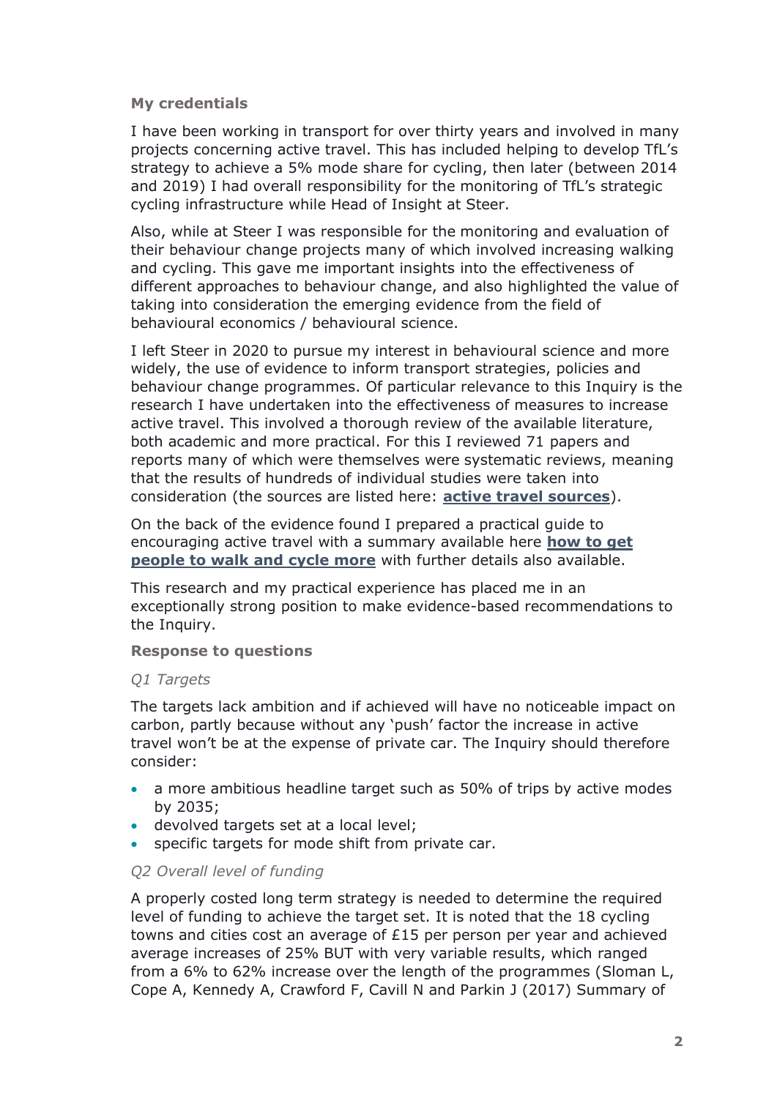## **My credentials**

I have been working in transport for over thirty years and involved in many projects concerning active travel. This has included helping to develop TfL's strategy to achieve a 5% mode share for cycling, then later (between 2014 and 2019) I had overall responsibility for the monitoring of TfL's strategic cycling infrastructure while Head of Insight at Steer.

Also, while at Steer I was responsible for the monitoring and evaluation of their behaviour change projects many of which involved increasing walking and cycling. This gave me important insights into the effectiveness of different approaches to behaviour change, and also highlighted the value of taking into consideration the emerging evidence from the field of behavioural economics / behavioural science.

I left Steer in 2020 to pursue my interest in behavioural science and more widely, the use of evidence to inform transport strategies, policies and behaviour change programmes. Of particular relevance to this Inquiry is the research I have undertaken into the effectiveness of measures to increase active travel. This involved a thorough review of the available literature, both academic and more practical. For this I reviewed 71 papers and reports many of which were themselves were systematic reviews, meaning that the results of hundreds of individual studies were taken into consideration (the sources are listed here: **[active travel sources](https://www.beyondlogicconsulting.com/uploads/1/3/3/2/133221357/how_to_get_people_to_walk_and_cycle_more-sources_1.pdf)**).

On the back of the evidence found I prepared a practical guide to encouraging active travel with a summary available here **[how to get](https://www.beyondlogicconsulting.com/uploads/1/3/3/2/133221357/how_to_get_people_to_walk_and_cycle_more_summary.pdf)  [people to walk and cycle more](https://www.beyondlogicconsulting.com/uploads/1/3/3/2/133221357/how_to_get_people_to_walk_and_cycle_more_summary.pdf)** with further details also available.

This research and my practical experience has placed me in an exceptionally strong position to make evidence-based recommendations to the Inquiry.

#### **Response to questions**

## *Q1 Targets*

The targets lack ambition and if achieved will have no noticeable impact on carbon, partly because without any 'push' factor the increase in active travel won't be at the expense of private car. The Inquiry should therefore consider:

- a more ambitious headline target such as 50% of trips by active modes by 2035;
- devolved targets set at a local level;
- specific targets for mode shift from private car.

## *Q2 Overall level of funding*

A properly costed long term strategy is needed to determine the required level of funding to achieve the target set. It is noted that the 18 cycling towns and cities cost an average of £15 per person per year and achieved average increases of 25% BUT with very variable results, which ranged from a 6% to 62% increase over the length of the programmes (Sloman L, Cope A, Kennedy A, Crawford F, Cavill N and Parkin J (2017) Summary of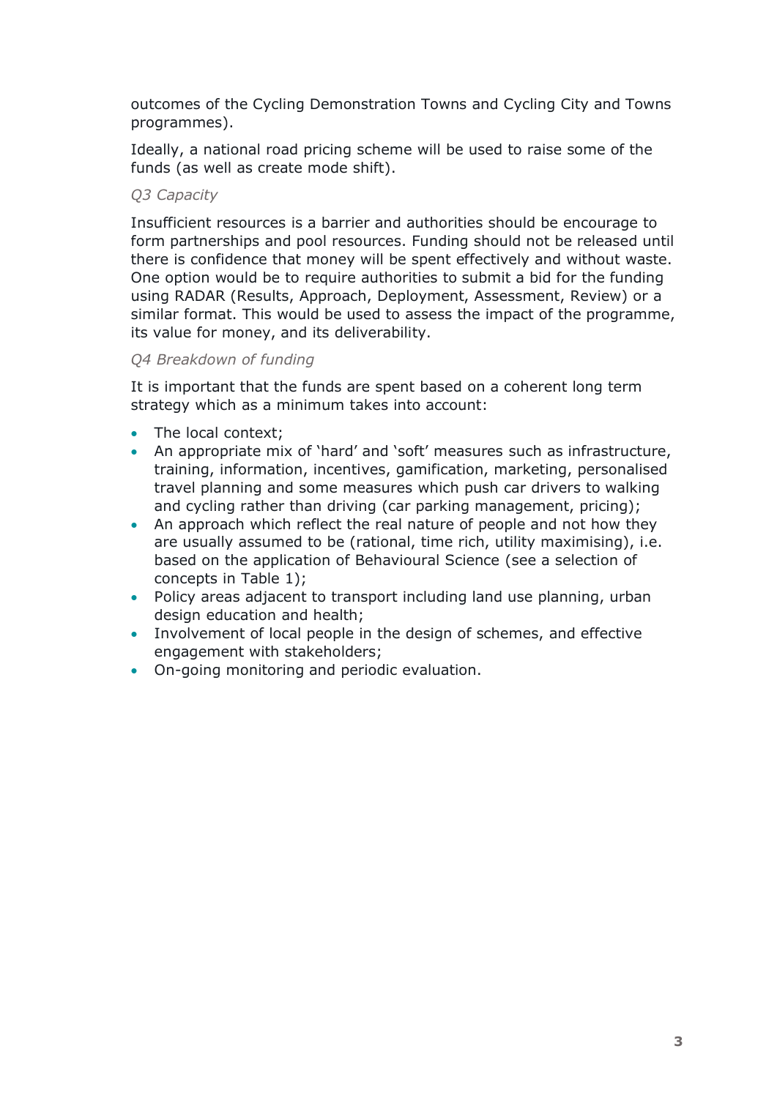outcomes of the Cycling Demonstration Towns and Cycling City and Towns programmes).

Ideally, a national road pricing scheme will be used to raise some of the funds (as well as create mode shift).

## *Q3 Capacity*

Insufficient resources is a barrier and authorities should be encourage to form partnerships and pool resources. Funding should not be released until there is confidence that money will be spent effectively and without waste. One option would be to require authorities to submit a bid for the funding using RADAR (Results, Approach, Deployment, Assessment, Review) or a similar format. This would be used to assess the impact of the programme, its value for money, and its deliverability.

## *Q4 Breakdown of funding*

It is important that the funds are spent based on a coherent long term strategy which as a minimum takes into account:

- The local context;
- An appropriate mix of 'hard' and 'soft' measures such as infrastructure, training, information, incentives, gamification, marketing, personalised travel planning and some measures which push car drivers to walking and cycling rather than driving (car parking management, pricing);
- An approach which reflect the real nature of people and not how they are usually assumed to be (rational, time rich, utility maximising), i.e. based on the application of Behavioural Science (see a selection of concepts in Table 1);
- Policy areas adjacent to transport including land use planning, urban design education and health;
- Involvement of local people in the design of schemes, and effective engagement with stakeholders;
- On-going monitoring and periodic evaluation.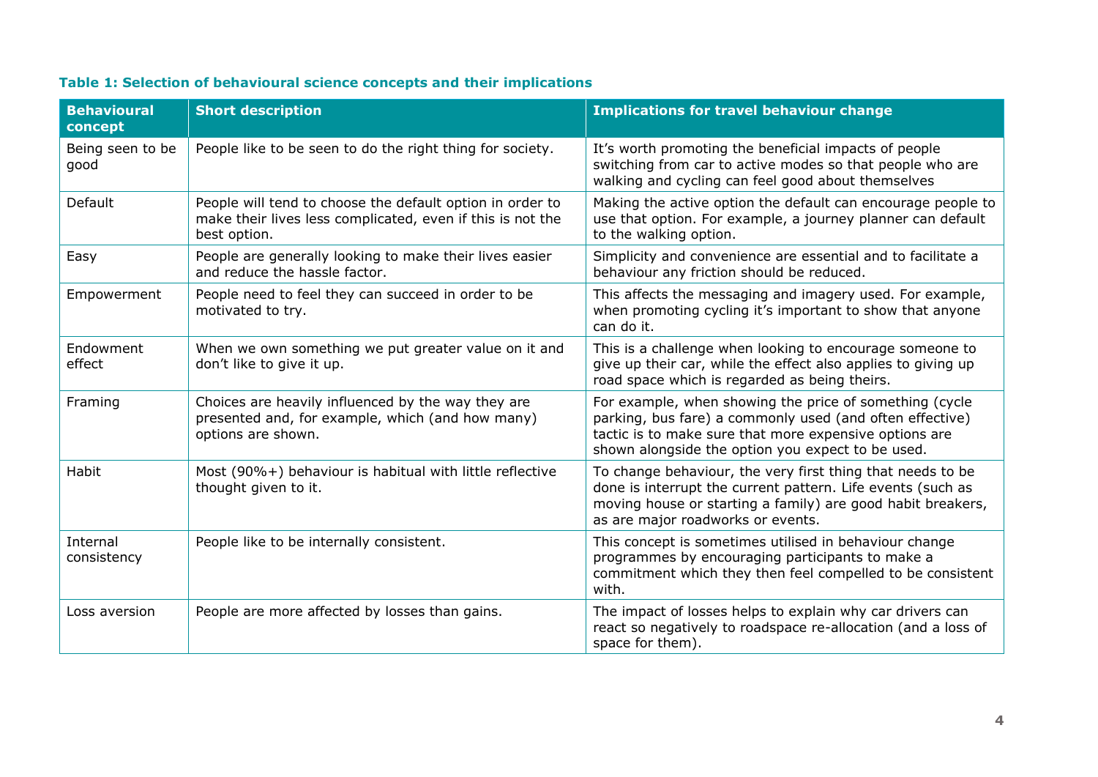| <b>Behavioural</b><br>concept | <b>Short description</b>                                                                                                                | <b>Implications for travel behaviour change</b>                                                                                                                                                                                    |
|-------------------------------|-----------------------------------------------------------------------------------------------------------------------------------------|------------------------------------------------------------------------------------------------------------------------------------------------------------------------------------------------------------------------------------|
| Being seen to be<br>good      | People like to be seen to do the right thing for society.                                                                               | It's worth promoting the beneficial impacts of people<br>switching from car to active modes so that people who are<br>walking and cycling can feel good about themselves                                                           |
| Default                       | People will tend to choose the default option in order to<br>make their lives less complicated, even if this is not the<br>best option. | Making the active option the default can encourage people to<br>use that option. For example, a journey planner can default<br>to the walking option.                                                                              |
| Easy                          | People are generally looking to make their lives easier<br>and reduce the hassle factor.                                                | Simplicity and convenience are essential and to facilitate a<br>behaviour any friction should be reduced.                                                                                                                          |
| Empowerment                   | People need to feel they can succeed in order to be<br>motivated to try.                                                                | This affects the messaging and imagery used. For example,<br>when promoting cycling it's important to show that anyone<br>can do it.                                                                                               |
| Endowment<br>effect           | When we own something we put greater value on it and<br>don't like to give it up.                                                       | This is a challenge when looking to encourage someone to<br>give up their car, while the effect also applies to giving up<br>road space which is regarded as being theirs.                                                         |
| Framing                       | Choices are heavily influenced by the way they are<br>presented and, for example, which (and how many)<br>options are shown.            | For example, when showing the price of something (cycle<br>parking, bus fare) a commonly used (and often effective)<br>tactic is to make sure that more expensive options are<br>shown alongside the option you expect to be used. |
| Habit                         | Most (90%+) behaviour is habitual with little reflective<br>thought given to it.                                                        | To change behaviour, the very first thing that needs to be<br>done is interrupt the current pattern. Life events (such as<br>moving house or starting a family) are good habit breakers,<br>as are major roadworks or events.      |
| Internal<br>consistency       | People like to be internally consistent.                                                                                                | This concept is sometimes utilised in behaviour change<br>programmes by encouraging participants to make a<br>commitment which they then feel compelled to be consistent<br>with.                                                  |
| Loss aversion                 | People are more affected by losses than gains.                                                                                          | The impact of losses helps to explain why car drivers can<br>react so negatively to roadspace re-allocation (and a loss of<br>space for them).                                                                                     |

# **Table 1: Selection of behavioural science concepts and their implications**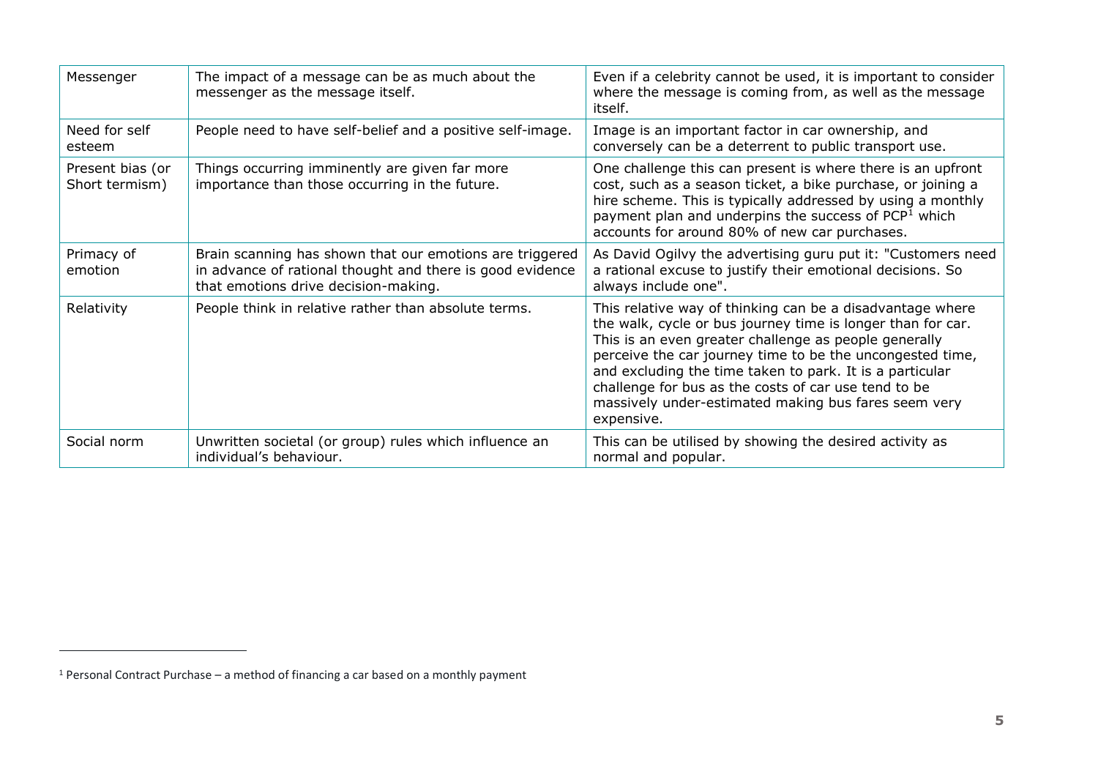| Messenger                          | The impact of a message can be as much about the<br>messenger as the message itself.                                                                          | Even if a celebrity cannot be used, it is important to consider<br>where the message is coming from, as well as the message<br>itself.                                                                                                                                                                                                                                                                                                   |
|------------------------------------|---------------------------------------------------------------------------------------------------------------------------------------------------------------|------------------------------------------------------------------------------------------------------------------------------------------------------------------------------------------------------------------------------------------------------------------------------------------------------------------------------------------------------------------------------------------------------------------------------------------|
| Need for self<br>esteem            | People need to have self-belief and a positive self-image.                                                                                                    | Image is an important factor in car ownership, and<br>conversely can be a deterrent to public transport use.                                                                                                                                                                                                                                                                                                                             |
| Present bias (or<br>Short termism) | Things occurring imminently are given far more<br>importance than those occurring in the future.                                                              | One challenge this can present is where there is an upfront<br>cost, such as a season ticket, a bike purchase, or joining a<br>hire scheme. This is typically addressed by using a monthly<br>payment plan and underpins the success of PCP <sup>1</sup> which<br>accounts for around 80% of new car purchases.                                                                                                                          |
| Primacy of<br>emotion              | Brain scanning has shown that our emotions are triggered<br>in advance of rational thought and there is good evidence<br>that emotions drive decision-making. | As David Ogilvy the advertising guru put it: "Customers need<br>a rational excuse to justify their emotional decisions. So<br>always include one".                                                                                                                                                                                                                                                                                       |
| Relativity                         | People think in relative rather than absolute terms.                                                                                                          | This relative way of thinking can be a disadvantage where<br>the walk, cycle or bus journey time is longer than for car.<br>This is an even greater challenge as people generally<br>perceive the car journey time to be the uncongested time,<br>and excluding the time taken to park. It is a particular<br>challenge for bus as the costs of car use tend to be<br>massively under-estimated making bus fares seem very<br>expensive. |
| Social norm                        | Unwritten societal (or group) rules which influence an<br>individual's behaviour.                                                                             | This can be utilised by showing the desired activity as<br>normal and popular.                                                                                                                                                                                                                                                                                                                                                           |

 $1$  Personal Contract Purchase – a method of financing a car based on a monthly payment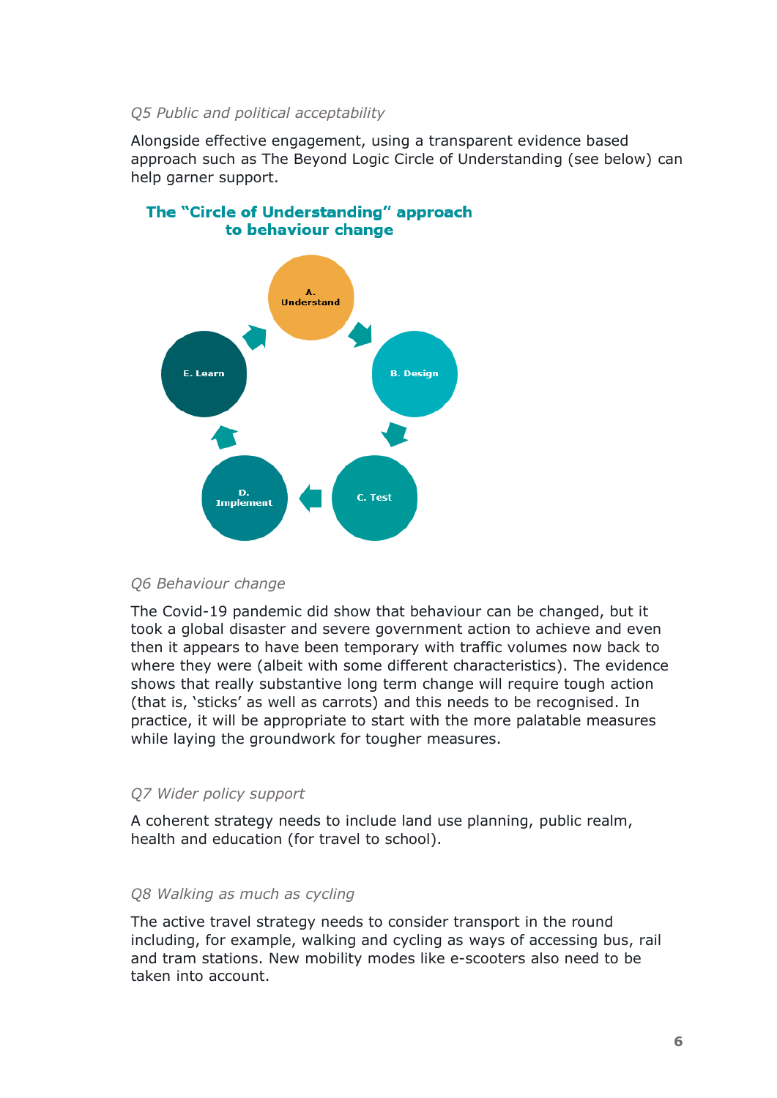#### *Q5 Public and political acceptability*

Alongside effective engagement, using a transparent evidence based approach such as The Beyond Logic Circle of Understanding (see below) can help garner support.



# The "Circle of Understanding" approach to behaviour change

#### *Q6 Behaviour change*

The Covid-19 pandemic did show that behaviour can be changed, but it took a global disaster and severe government action to achieve and even then it appears to have been temporary with traffic volumes now back to where they were (albeit with some different characteristics). The evidence shows that really substantive long term change will require tough action (that is, 'sticks' as well as carrots) and this needs to be recognised. In practice, it will be appropriate to start with the more palatable measures while laying the groundwork for tougher measures.

## *Q7 Wider policy support*

A coherent strategy needs to include land use planning, public realm, health and education (for travel to school).

#### *Q8 Walking as much as cycling*

The active travel strategy needs to consider transport in the round including, for example, walking and cycling as ways of accessing bus, rail and tram stations. New mobility modes like e-scooters also need to be taken into account.